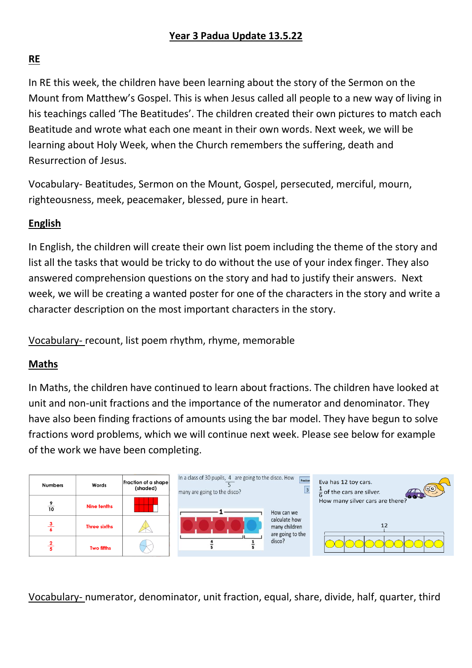# **RE**

In RE this week, the children have been learning about the story of the Sermon on the Mount from Matthew's Gospel. This is when Jesus called all people to a new way of living in his teachings called 'The Beatitudes'. The children created their own pictures to match each Beatitude and wrote what each one meant in their own words. Next week, we will be learning about Holy Week, when the Church remembers the suffering, death and Resurrection of Jesus.

Vocabulary- Beatitudes, Sermon on the Mount, Gospel, persecuted, merciful, mourn, righteousness, meek, peacemaker, blessed, pure in heart.

#### **English**

In English, the children will create their own list poem including the theme of the story and list all the tasks that would be tricky to do without the use of your index finger. They also answered comprehension questions on the story and had to justify their answers. Next week, we will be creating a wanted poster for one of the characters in the story and write a character description on the most important characters in the story.

Vocabulary- recount, list poem rhythm, rhyme, memorable

#### **Maths**

In Maths, the children have continued to learn about fractions. The children have looked at unit and non-unit fractions and the importance of the numerator and denominator. They have also been finding fractions of amounts using the bar model. They have begun to solve fractions word problems, which we will continue next week. Please see below for example of the work we have been completing.



Vocabulary- numerator, denominator, unit fraction, equal, share, divide, half, quarter, third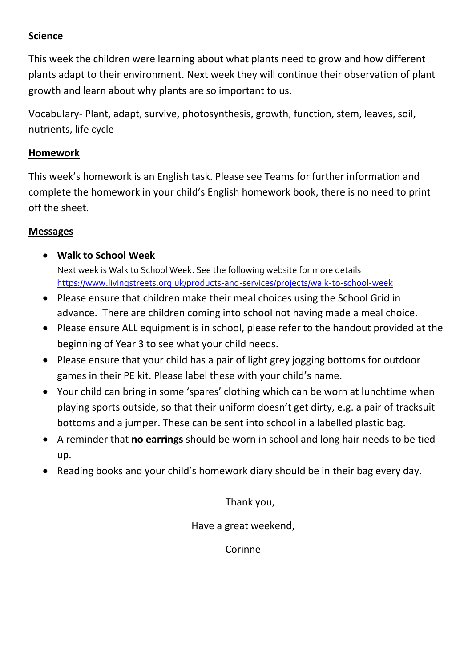### **Science**

This week the children were learning about what plants need to grow and how different plants adapt to their environment. Next week they will continue their observation of plant growth and learn about why plants are so important to us.

Vocabulary- Plant, adapt, survive, photosynthesis, growth, function, stem, leaves, soil, nutrients, life cycle

#### **Homework**

This week's homework is an English task. Please see Teams for further information and complete the homework in your child's English homework book, there is no need to print off the sheet.

#### **Messages**

#### **Walk to School Week**

Next week is Walk to School Week. See the following website for more details <https://www.livingstreets.org.uk/products-and-services/projects/walk-to-school-week>

- Please ensure that children make their meal choices using the School Grid in advance. There are children coming into school not having made a meal choice.
- Please ensure ALL equipment is in school, please refer to the handout provided at the beginning of Year 3 to see what your child needs.
- Please ensure that your child has a pair of light grey jogging bottoms for outdoor games in their PE kit. Please label these with your child's name.
- Your child can bring in some 'spares' clothing which can be worn at lunchtime when playing sports outside, so that their uniform doesn't get dirty, e.g. a pair of tracksuit bottoms and a jumper. These can be sent into school in a labelled plastic bag.
- A reminder that **no earrings** should be worn in school and long hair needs to be tied up.
- Reading books and your child's homework diary should be in their bag every day.

Thank you,

Have a great weekend,

Corinne